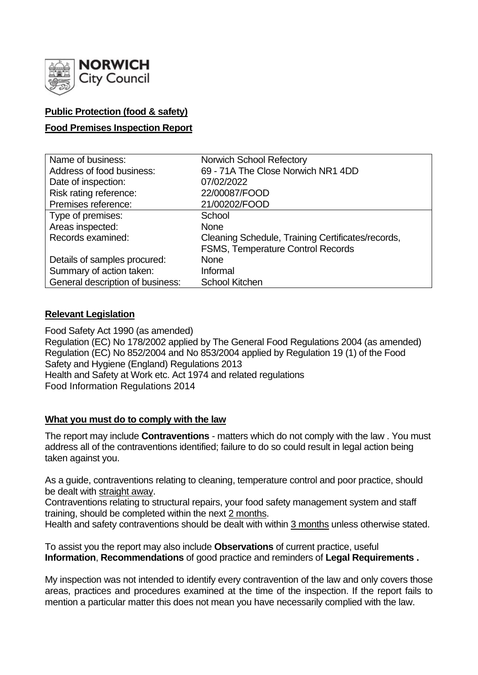

## **Public Protection (food & safety)**

## **Food Premises Inspection Report**

| Name of business:                | <b>Norwich School Refectory</b>                   |
|----------------------------------|---------------------------------------------------|
| Address of food business:        | 69 - 71A The Close Norwich NR1 4DD                |
| Date of inspection:              | 07/02/2022                                        |
| Risk rating reference:           | 22/00087/FOOD                                     |
| Premises reference:              | 21/00202/FOOD                                     |
| Type of premises:                | School                                            |
| Areas inspected:                 | <b>None</b>                                       |
| Records examined:                | Cleaning Schedule, Training Certificates/records, |
|                                  | <b>FSMS, Temperature Control Records</b>          |
| Details of samples procured:     | <b>None</b>                                       |
| Summary of action taken:         | Informal                                          |
| General description of business: | <b>School Kitchen</b>                             |

### **Relevant Legislation**

Food Safety Act 1990 (as amended) Regulation (EC) No 178/2002 applied by The General Food Regulations 2004 (as amended) Regulation (EC) No 852/2004 and No 853/2004 applied by Regulation 19 (1) of the Food Safety and Hygiene (England) Regulations 2013 Health and Safety at Work etc. Act 1974 and related regulations Food Information Regulations 2014

### **What you must do to comply with the law**

The report may include **Contraventions** - matters which do not comply with the law . You must address all of the contraventions identified; failure to do so could result in legal action being taken against you.

As a guide, contraventions relating to cleaning, temperature control and poor practice, should be dealt with straight away.

Contraventions relating to structural repairs, your food safety management system and staff training, should be completed within the next 2 months.

Health and safety contraventions should be dealt with within 3 months unless otherwise stated.

To assist you the report may also include **Observations** of current practice, useful **Information**, **Recommendations** of good practice and reminders of **Legal Requirements .**

My inspection was not intended to identify every contravention of the law and only covers those areas, practices and procedures examined at the time of the inspection. If the report fails to mention a particular matter this does not mean you have necessarily complied with the law.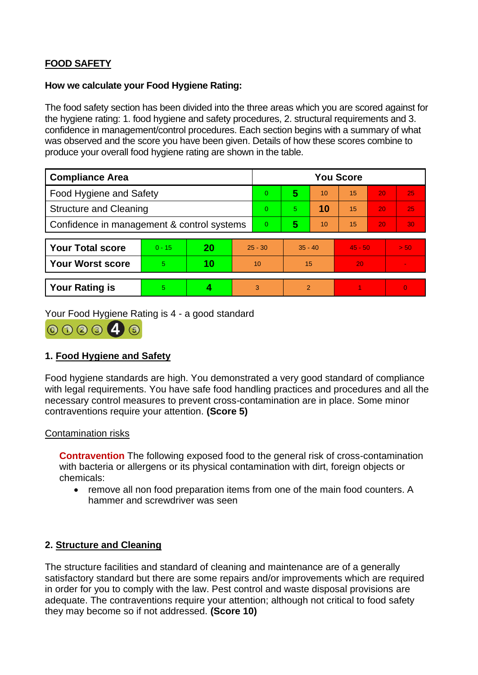# **FOOD SAFETY**

### **How we calculate your Food Hygiene Rating:**

The food safety section has been divided into the three areas which you are scored against for the hygiene rating: 1. food hygiene and safety procedures, 2. structural requirements and 3. confidence in management/control procedures. Each section begins with a summary of what was observed and the score you have been given. Details of how these scores combine to produce your overall food hygiene rating are shown in the table.

| <b>Compliance Area</b>                     |          |    |           | <b>You Score</b> |           |    |           |    |          |  |  |
|--------------------------------------------|----------|----|-----------|------------------|-----------|----|-----------|----|----------|--|--|
| Food Hygiene and Safety                    |          |    |           | 0                | 5         | 10 | 15        | 20 | 25       |  |  |
| <b>Structure and Cleaning</b>              |          |    |           | 0                | 5.        | 10 | 15        | 20 | 25       |  |  |
| Confidence in management & control systems |          |    |           | 0                | 5         | 10 | 15        | 20 | 30       |  |  |
|                                            |          |    |           |                  |           |    |           |    |          |  |  |
| <b>Your Total score</b>                    | $0 - 15$ | 20 | $25 - 30$ |                  | $35 - 40$ |    | $45 - 50$ |    | > 50.    |  |  |
| <b>Your Worst score</b>                    | 5        | 10 | 10        |                  | 15        |    | 20        |    |          |  |  |
|                                            |          |    |           |                  |           |    |           |    |          |  |  |
| <b>Your Rating is</b>                      | 5        |    |           | 3                | 2         |    |           |    | $\Omega$ |  |  |

Your Food Hygiene Rating is 4 - a good standard



# **1. Food Hygiene and Safety**

Food hygiene standards are high. You demonstrated a very good standard of compliance with legal requirements. You have safe food handling practices and procedures and all the necessary control measures to prevent cross-contamination are in place. Some minor contraventions require your attention. **(Score 5)**

## Contamination risks

**Contravention** The following exposed food to the general risk of cross-contamination with bacteria or allergens or its physical contamination with dirt, foreign objects or chemicals:

• remove all non food preparation items from one of the main food counters. A hammer and screwdriver was seen

# **2. Structure and Cleaning**

The structure facilities and standard of cleaning and maintenance are of a generally satisfactory standard but there are some repairs and/or improvements which are required in order for you to comply with the law. Pest control and waste disposal provisions are adequate. The contraventions require your attention; although not critical to food safety they may become so if not addressed. **(Score 10)**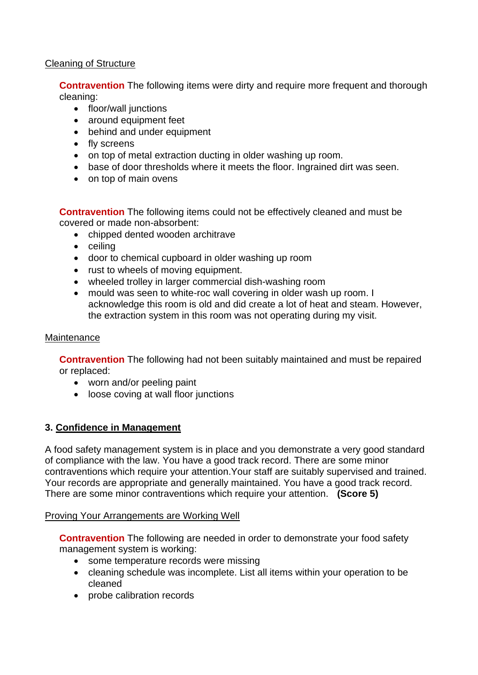## Cleaning of Structure

**Contravention** The following items were dirty and require more frequent and thorough cleaning:

- floor/wall junctions
- around equipment feet
- behind and under equipment
- fly screens
- on top of metal extraction ducting in older washing up room.
- base of door thresholds where it meets the floor. Ingrained dirt was seen.
- on top of main ovens

**Contravention** The following items could not be effectively cleaned and must be covered or made non-absorbent:

- chipped dented wooden architrave
- ceiling
- door to chemical cupboard in older washing up room
- rust to wheels of moving equipment.
- wheeled trolley in larger commercial dish-washing room
- mould was seen to white-roc wall covering in older wash up room. I acknowledge this room is old and did create a lot of heat and steam. However, the extraction system in this room was not operating during my visit.

### **Maintenance**

**Contravention** The following had not been suitably maintained and must be repaired or replaced:

- worn and/or peeling paint
- loose coving at wall floor junctions

### **3. Confidence in Management**

A food safety management system is in place and you demonstrate a very good standard of compliance with the law. You have a good track record. There are some minor contraventions which require your attention.Your staff are suitably supervised and trained. Your records are appropriate and generally maintained. You have a good track record. There are some minor contraventions which require your attention. **(Score 5)**

### Proving Your Arrangements are Working Well

**Contravention** The following are needed in order to demonstrate your food safety management system is working:

- some temperature records were missing
- cleaning schedule was incomplete. List all items within your operation to be cleaned
- probe calibration records